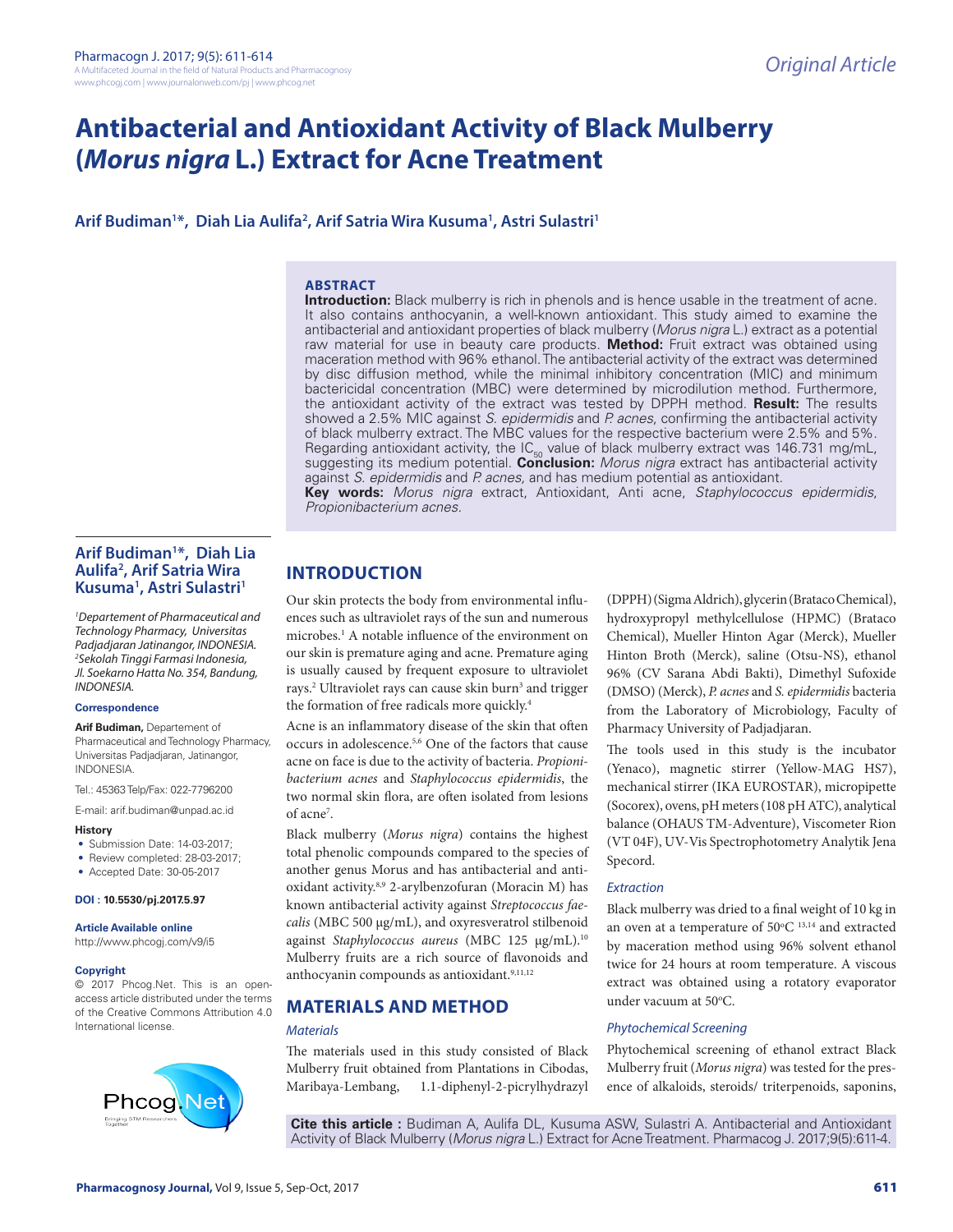# **Antibacterial and Antioxidant Activity of Black Mulberry (***Morus nigra* **L.) Extract for Acne Treatment**

**Arif Budiman1 \*, Diah Lia Aulifa2 , Arif Satria Wira Kusuma1 , Astri Sulastri1**

### **ABSTRACT**

**Introduction:** Black mulberry is rich in phenols and is hence usable in the treatment of acne. It also contains anthocyanin, a well-known antioxidant. This study aimed to examine the antibacterial and antioxidant properties of black mulberry (*Morus nigra* L.) extract as a potential raw material for use in beauty care products. **Method:** Fruit extract was obtained using maceration method with 96% ethanol. The antibacterial activity of the extract was determined by disc diffusion method, while the minimal inhibitory concentration (MIC) and minimum bactericidal concentration (MBC) were determined by microdilution method. Furthermore, the antioxidant activity of the extract was tested by DPPH method. **Result:** The results showed a 2.5% MIC against *S. epidermidis* and *P. acnes*, confirming the antibacterial activity of black mulberry extract. The MBC values for the respective bacterium were 2.5% and 5%. Regarding antioxidant activity, the  $IC_{FQ}$  value of black mulberry extract was 146.731 mg/mL, suggesting its medium potential. **Conclusion:** *Morus nigra* extract has antibacterial activity against *S. epidermidis* and *P. acnes,* and has medium potential as antioxidant. **Key words:** *Morus nigra* extract, Antioxidant, Anti acne, *Staphylococcus epidermidis*, *Propionibacterium acnes.*

### **Arif Budiman1 \*, Diah Lia Aulifa2 , Arif Satria Wira Kusuma1 , Astri Sulastri1**

*1 Departement of Pharmaceutical and Technology Pharmacy, Universitas Padjadjaran Jatinangor, INDONESIA. 2 Sekolah Tinggi Farmasi Indonesia, Jl. Soekarno Hatta No. 354, Bandung, INDONESIA.*

#### **Correspondence**

**Arif Budiman,** Departement of Pharmaceutical and Technology Pharmacy, Universitas Padjadjaran, Jatinangor, INDONESIA.

Tel.: 45363 Telp/Fax: 022-7796200

E-mail: arif.budiman@unpad.ac.id

#### **History**

- Submission Date: 14-03-2017;
- Review completed: 28-03-2017;
- Accepted Date: 30-05-2017

### **DOI : 10.5530/pj.2017.5.97**

**Article Available online** 

http://www.phcogj.com/v9/i5

#### **Copyright**

© 2017 Phcog.Net. This is an openaccess article distributed under the terms of the Creative Commons Attribution 4.0 International license.



## **INTRODUCTION**

Our skin protects the body from environmental influences such as ultraviolet rays of the sun and numerous microbes.1 A notable influence of the environment on our skin is premature aging and acne. Premature aging is usually caused by frequent exposure to ultraviolet rays.<sup>2</sup> Ultraviolet rays can cause skin burn<sup>3</sup> and trigger the formation of free radicals more quickly.<sup>4</sup>

Acne is an inflammatory disease of the skin that often occurs in adolescence.5,6 One of the factors that cause acne on face is due to the activity of bacteria. *Propionibacterium acnes* and *Staphylococcus epidermidis*, the two normal skin flora, are often isolated from lesions of acne7 .

Black mulberry (*Morus nigra*) contains the highest total phenolic compounds compared to the species of another genus Morus and has antibacterial and antioxidant activity.8,9 2-arylbenzofuran (Moracin M) has known antibacterial activity against *Streptococcus faecalis* (MBC 500 μg/mL), and oxyresveratrol stilbenoid against *Staphylococcus aureus* (MBC 125 μg/mL).10 Mulberry fruits are a rich source of flavonoids and anthocyanin compounds as antioxidant.<sup>9,11,12</sup>

### **MATERIALS AND METHOD**

#### *Materials*

The materials used in this study consisted of Black Mulberry fruit obtained from Plantations in Cibodas, Maribaya-Lembang, 1.1-diphenyl-2-picrylhydrazyl

(DPPH) (Sigma Aldrich), glycerin (Brataco Chemical), hydroxypropyl methylcellulose (HPMC) (Brataco Chemical), Mueller Hinton Agar (Merck), Mueller Hinton Broth (Merck), saline (Otsu-NS), ethanol 96% (CV Sarana Abdi Bakti), Dimethyl Sufoxide (DMSO) (Merck), *P. acnes* and *S. epidermidis* bacteria from the Laboratory of Microbiology, Faculty of Pharmacy University of Padjadjaran.

The tools used in this study is the incubator (Yenaco), magnetic stirrer (Yellow-MAG HS7), mechanical stirrer (IKA EUROSTAR), micropipette (Socorex), ovens, pH meters (108 pH ATC), analytical balance (OHAUS TM-Adventure), Viscometer Rion (VT 04F), UV-Vis Spectrophotometry Analytik Jena Specord.

### *Extraction*

Black mulberry was dried to a final weight of 10 kg in an oven at a temperature of  $50^{\circ}$ C  $^{13,14}$  and extracted by maceration method using 96% solvent ethanol twice for 24 hours at room temperature. A viscous extract was obtained using a rotatory evaporator under vacuum at 50°C.

### *Phytochemical Screening*

Phytochemical screening of ethanol extract Black Mulberry fruit (*Morus nigra*) was tested for the presence of alkaloids, steroids/ triterpenoids, saponins,

**Cite this article :** Budiman A, Aulifa DL, Kusuma ASW, Sulastri A. Antibacterial and Antioxidant Activity of Black Mulberry (*Morus nigra* L.) Extract for Acne Treatment. Pharmacog J. 2017;9(5):611-4.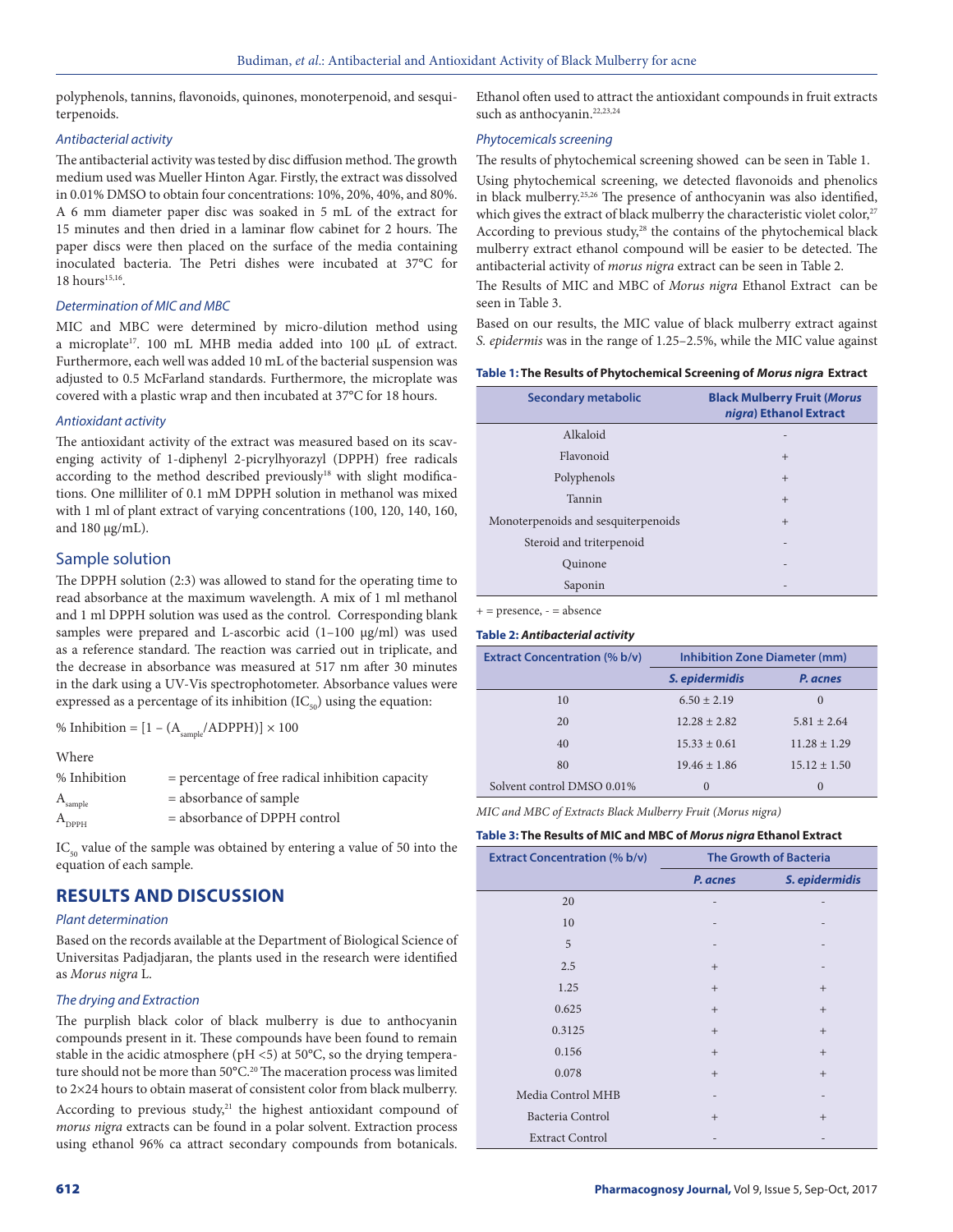polyphenols, tannins, flavonoids, quinones, monoterpenoid, and sesquiterpenoids.

### *Antibacterial activity*

The antibacterial activity was tested by disc diffusion method. The growth medium used was Mueller Hinton Agar. Firstly, the extract was dissolved in 0.01% DMSO to obtain four concentrations: 10%, 20%, 40%, and 80%. A 6 mm diameter paper disc was soaked in 5 mL of the extract for 15 minutes and then dried in a laminar flow cabinet for 2 hours. The paper discs were then placed on the surface of the media containing inoculated bacteria. The Petri dishes were incubated at 37°C for  $18$  hours<sup>15,16</sup>.

### *Determination of MIC and MBC*

MIC and MBC were determined by micro-dilution method using a microplate17. 100 mL MHB media added into 100 µL of extract. Furthermore, each well was added 10 mL of the bacterial suspension was adjusted to 0.5 McFarland standards. Furthermore, the microplate was covered with a plastic wrap and then incubated at 37°C for 18 hours.

### *Antioxidant activity*

The antioxidant activity of the extract was measured based on its scavenging activity of 1-diphenyl 2-picrylhyorazyl (DPPH) free radicals according to the method described previously<sup>18</sup> with slight modifications. One milliliter of 0.1 mM DPPH solution in methanol was mixed with 1 ml of plant extract of varying concentrations (100, 120, 140, 160, and 180 μg/mL).

### Sample solution

The DPPH solution (2:3) was allowed to stand for the operating time to read absorbance at the maximum wavelength. A mix of 1 ml methanol and 1 ml DPPH solution was used as the control. Corresponding blank samples were prepared and L-ascorbic acid (1-100 µg/ml) was used as a reference standard. The reaction was carried out in triplicate, and the decrease in absorbance was measured at 517 nm after 30 minutes in the dark using a UV-Vis spectrophotometer. Absorbance values were expressed as a percentage of its inhibition  $(IC_{50})$  using the equation:

% Inhibition =  $[1 - (A_{sample}/ADPPH)] \times 100$ 

Where

| % Inhibition          | $=$ percentage of free radical inhibition capacity |
|-----------------------|----------------------------------------------------|
| $\rm A_{\rm sample}$  | $=$ absorbance of sample                           |
| $\rm A_{ppp_{\rm H}}$ | $=$ absorbance of DPPH control                     |

 $IC_{50}$  value of the sample was obtained by entering a value of 50 into the equation of each sample.

### **RESULTS AND DISCUSSION**

#### *Plant determination*

Based on the records available at the Department of Biological Science of Universitas Padjadjaran, the plants used in the research were identified as *Morus nigra* L.

### *The drying and Extraction*

The purplish black color of black mulberry is due to anthocyanin compounds present in it. These compounds have been found to remain stable in the acidic atmosphere ( $pH \le 5$ ) at 50°C, so the drying temperature should not be more than 50°C.20 The maceration process was limited to 2×24 hours to obtain maserat of consistent color from black mulberry. According to previous study, $21$  the highest antioxidant compound of *morus nigra* extracts can be found in a polar solvent. Extraction process using ethanol 96% ca attract secondary compounds from botanicals.

Ethanol often used to attract the antioxidant compounds in fruit extracts such as anthocyanin.<sup>22,23,24</sup>

### *Phytocemicals screening*

The results of phytochemical screening showed can be seen in Table 1. Using phytochemical screening, we detected flavonoids and phenolics in black mulberry.25,26 The presence of anthocyanin was also identified, which gives the extract of black mulberry the characteristic violet color,<sup>27</sup> According to previous study,<sup>28</sup> the contains of the phytochemical black mulberry extract ethanol compound will be easier to be detected. The antibacterial activity of *morus nigra* extract can be seen in Table 2.

The Results of MIC and MBC of *Morus nigra* Ethanol Extract can be seen in Table 3.

Based on our results, the MIC value of black mulberry extract against *S. epidermis* was in the range of 1.25–2.5%, while the MIC value against

| <b>Secondary metabolic</b>          | <b>Black Mulberry Fruit (Morus</b><br>nigra) Ethanol Extract |
|-------------------------------------|--------------------------------------------------------------|
| Alkaloid                            |                                                              |
| Flavonoid                           | $+$                                                          |
| Polyphenols                         | $+$                                                          |
| Tannin                              | $+$                                                          |
| Monoterpenoids and sesquiterpenoids | $^{+}$                                                       |
| Steroid and triterpenoid            | $\overline{\phantom{0}}$                                     |
| Quinone                             |                                                              |
| Saponin                             | $\overline{\phantom{a}}$                                     |

 $+=$  presence,  $=$  absence

#### **Table 2:** *Antibacterial activity*

| <b>Extract Concentration (% b/v)</b> | <b>Inhibition Zone Diameter (mm)</b> |                  |  |
|--------------------------------------|--------------------------------------|------------------|--|
|                                      | S. epidermidis                       | P. acnes         |  |
| 10                                   | $6.50 \pm 2.19$                      | $\theta$         |  |
| 20                                   | $12.28 + 2.82$                       | $5.81 + 2.64$    |  |
| 40                                   | $15.33 + 0.61$                       | $11.28 \pm 1.29$ |  |
| 80                                   | $19.46 \pm 1.86$                     | $15.12 \pm 1.50$ |  |
| Solvent control DMSO 0.01%           | $\Omega$                             | $\theta$         |  |

*MIC and MBC of Extracts Black Mulberry Fruit (Morus nigra)*

### **Table 3: The Results of MIC and MBC of** *Morus nigra* **Ethanol Extract**

| <b>Extract Concentration (% b/v)</b> | <b>The Growth of Bacteria</b> |                |  |
|--------------------------------------|-------------------------------|----------------|--|
|                                      | P. acnes                      | S. epidermidis |  |
| 20                                   |                               |                |  |
| 10                                   |                               |                |  |
| 5                                    |                               |                |  |
| 2.5                                  | $+$                           |                |  |
| 1.25                                 | $+$                           | $^{+}$         |  |
| 0.625                                | $+$                           | $+$            |  |
| 0.3125                               | $+$                           | $+$            |  |
| 0.156                                | $+$                           | $+$            |  |
| 0.078                                | $+$                           | $^{+}$         |  |
| Media Control MHB                    |                               |                |  |
| Bacteria Control                     | $+$                           | $^{+}$         |  |
| <b>Extract Control</b>               |                               |                |  |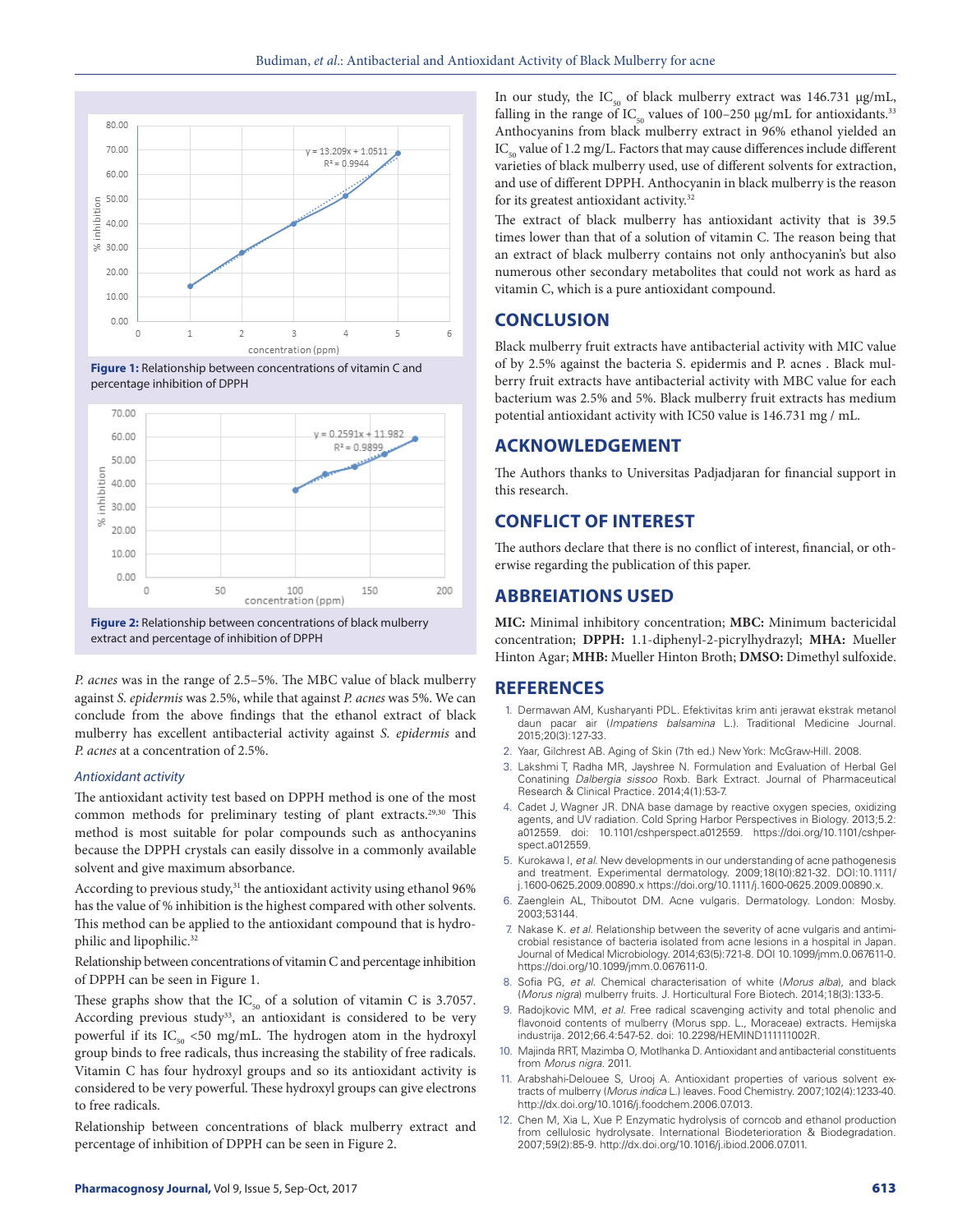

**Figure 1:** Relationship between concentrations of vitamin C and percentage inhibition of DPPH



**Figure 2:** Relationship between concentrations of black mulberry extract and percentage of inhibition of DPPH

*P. acnes* was in the range of 2.5–5%. The MBC value of black mulberry against *S. epidermis* was 2.5%, while that against *P. acnes* was 5%. We can conclude from the above findings that the ethanol extract of black mulberry has excellent antibacterial activity against *S. epidermis* and *P. acnes* at a concentration of 2.5%.

### *Antioxidant activity*

The antioxidant activity test based on DPPH method is one of the most common methods for preliminary testing of plant extracts.29,30 This method is most suitable for polar compounds such as anthocyanins because the DPPH crystals can easily dissolve in a commonly available solvent and give maximum absorbance.

According to previous study,<sup>31</sup> the antioxidant activity using ethanol 96% has the value of % inhibition is the highest compared with other solvents. This method can be applied to the antioxidant compound that is hydrophilic and lipophilic.<sup>32</sup>

Relationship between concentrations of vitamin C and percentage inhibition of DPPH can be seen in Figure 1.

These graphs show that the  $IC_{50}$  of a solution of vitamin C is 3.7057. According previous study<sup>33</sup>, an antioxidant is considered to be very powerful if its  $IC_{50}$  <50 mg/mL. The hydrogen atom in the hydroxyl group binds to free radicals, thus increasing the stability of free radicals. Vitamin C has four hydroxyl groups and so its antioxidant activity is considered to be very powerful. These hydroxyl groups can give electrons to free radicals.

Relationship between concentrations of black mulberry extract and percentage of inhibition of DPPH can be seen in Figure 2.

In our study, the IC<sub>50</sub> of black mulberry extract was 146.731 μg/mL, falling in the range of  $IC_{50}$  values of 100–250 μg/mL for antioxidants.<sup>33</sup> Anthocyanins from black mulberry extract in 96% ethanol yielded an  $IC_{50}$  value of 1.2 mg/L. Factors that may cause differences include different varieties of black mulberry used, use of different solvents for extraction, and use of different DPPH. Anthocyanin in black mulberry is the reason for its greatest antioxidant activity.<sup>32</sup>

The extract of black mulberry has antioxidant activity that is 39.5 times lower than that of a solution of vitamin C. The reason being that an extract of black mulberry contains not only anthocyanin's but also numerous other secondary metabolites that could not work as hard as vitamin C, which is a pure antioxidant compound.

### **CONCLUSION**

Black mulberry fruit extracts have antibacterial activity with MIC value of by 2.5% against the bacteria S. epidermis and P. acnes . Black mulberry fruit extracts have antibacterial activity with MBC value for each bacterium was 2.5% and 5%. Black mulberry fruit extracts has medium potential antioxidant activity with IC50 value is 146.731 mg / mL.

### **ACKNOWLEDGEMENT**

The Authors thanks to Universitas Padjadjaran for financial support in this research.

### **CONFLICT OF INTEREST**

The authors declare that there is no conflict of interest, financial, or otherwise regarding the publication of this paper.

### **ABBREIATIONS USED**

**MIC:** Minimal inhibitory concentration; **MBC:** Minimum bactericidal concentration; **DPPH:** 1.1-diphenyl-2-picrylhydrazyl; **MHA:** Mueller Hinton Agar; **MHB:** Mueller Hinton Broth; **DMSO:** Dimethyl sulfoxide.

### **REFERENCES**

- 1. Dermawan AM, Kusharyanti PDL. Efektivitas krim anti jerawat ekstrak metanol daun pacar air (*Impatiens balsamina* L.). Traditional Medicine Journal. 2015;20(3):127-33.
- 2. Yaar, Gilchrest AB. Aging of Skin (7th ed.) New York: McGraw-Hill. 2008.
- 3. Lakshmi T, Radha MR, Jayshree N. Formulation and Evaluation of Herbal Gel Conatining *Dalbergia sissoo* Roxb. Bark Extract. Journal of Pharmaceutical Research & Clinical Practice. 2014;4(1):53-7.
- 4. Cadet J, Wagner JR. DNA base damage by reactive oxygen species, oxidizing agents, and UV radiation. Cold Spring Harbor Perspectives in Biology. 2013;5.2: a012559. doi: 10.1101/cshperspect.a012559. https://doi.org/10.1101/cshperspect.a012559.
- 5. Kurokawa I, *et al*. New developments in our understanding of acne pathogenesis and treatment. Experimental dermatology. 2009;18(10):821-32. DOI:10.1111/ j.1600-0625.2009.00890.x https://doi.org/10.1111/j.1600-0625.2009.00890.x.
- 6. Zaenglein AL, Thiboutot DM. Acne vulgaris. Dermatology. London: Mosby. 2003;53144.
- 7. Nakase K. *et al*. Relationship between the severity of acne vulgaris and antimicrobial resistance of bacteria isolated from acne lesions in a hospital in Japan. Journal of Medical Microbiology. 2014;63(5):721-8. DOI 10.1099/jmm.0.067611-0. https://doi.org/10.1099/jmm.0.067611-0.
- 8. Sofia PG, *et al*. Chemical characterisation of white (*Morus alba*), and black (*Morus nigra*) mulberry fruits. J. Horticultural Fore Biotech. 2014;18(3):133-5.
- 9. Radojkovic MM, *et al*. Free radical scavenging activity and total phenolic and flavonoid contents of mulberry (Morus spp. L., Moraceae) extracts. Hemijska industrija. 2012;66.4:547-52. doi: 10.2298/HEMIND111111002R.
- 10. Majinda RRT, Mazimba O, Motlhanka D. Antioxidant and antibacterial constituents from *Morus nigra*. 2011.
- 11. Arabshahi-Delouee S, Urooj A. Antioxidant properties of various solvent extracts of mulberry (*Morus indica* L.) leaves. Food Chemistry. 2007;102(4):1233-40. http://dx.doi.org/10.1016/j.foodchem.2006.07.013.
- 12. Chen M, Xia L, Xue P. Enzymatic hydrolysis of corncob and ethanol production from cellulosic hydrolysate. International Biodeterioration & Biodegradation. 2007;59(2):85-9. http://dx.doi.org/10.1016/j.ibiod.2006.07.011.